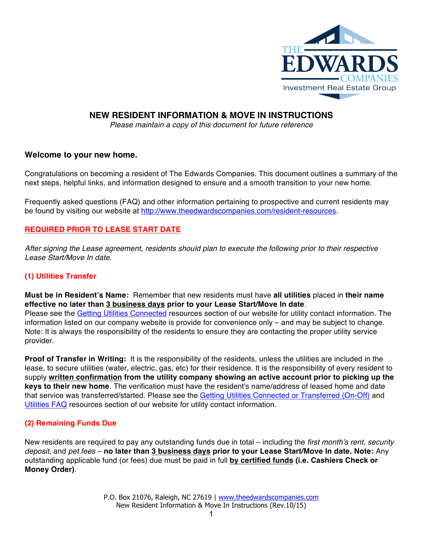

# **NEW RESIDENT INFORMATION & MOVE IN INSTRUCTIONS**

*Please maintain a copy of this document for future reference*

## **Welcome to your new home.**

Congratulations on becoming a resident of The Edwards Companies. This document outlines a summary of the next steps, helpful links, and information designed to ensure and a smooth transition to your new home.

Frequently asked questions (FAQ) and other information pertaining to prospective and current residents may be found by visiting our website at http://www.theedwardscompanies.com/resident-resources.

## **REQUIRED PRIOR TO LEASE START DATE**

*After signing the Lease agreement, residents should plan to execute the following prior to their respective Lease Start/Move In date.* 

## **(1) Utilities Transfer**

provider.

**Must be in Resident's Name:** Remember that new residents must have **all utilities** placed in **their name effective no later than 3 business days prior to your Lease Start/Move In date**. Please see the Getting Utilities Connected resources section of our website for utility contact information. The information listed on our company website is provide for convenience only – and may be subject to change. Note: It is always the responsibility of the residents to ensure they are contacting the proper utility service

**Proof of Transfer in Writing:** It is the responsibility of the residents, unless the utilities are included in the lease, to secure utilities (water, electric, gas, etc) for their residence. It is the responsibility of every resident to supply **written confirmation from the utility company showing an active account prior to picking up the keys to their new home**. The verification must have the resident's name/address of leased home and date that service was transferred/started. Please see the Getting Utilities Connected or Transferred (On-Off) and Utilities FAQ resources section of our website for utility contact information.

## **(2) Remaining Funds Due**

New residents are required to pay any outstanding funds due in total – including the *first month's rent, security deposit*, and *pet fees* – **no later than 3 business days prior to your Lease Start/Move In date. Note:** Any outstanding applicable fund (or fees) due must be paid in full **by certified funds (i.e. Cashiers Check or Money Order)**.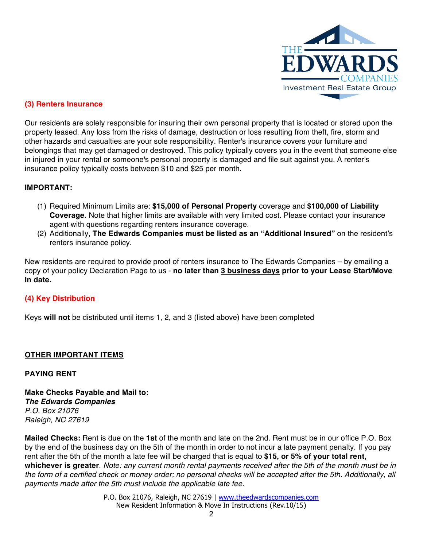

## **(3) Renters Insurance**

Our residents are solely responsible for insuring their own personal property that is located or stored upon the property leased. Any loss from the risks of damage, destruction or loss resulting from theft, fire, storm and other hazards and casualties are your sole responsibility. Renter's insurance covers your furniture and belongings that may get damaged or destroyed. This policy typically covers you in the event that someone else in injured in your rental or someone's personal property is damaged and file suit against you. A renter's insurance policy typically costs between \$10 and \$25 per month.

## **IMPORTANT:**

- (1) Required Minimum Limits are: **\$15,000 of Personal Property** coverage and **\$100,000 of Liability Coverage**. Note that higher limits are available with very limited cost. Please contact your insurance agent with questions regarding renters insurance coverage.
- (2) Additionally, **The Edwards Companies must be listed as an "Additional Insured"** on the resident's renters insurance policy.

New residents are required to provide proof of renters insurance to The Edwards Companies – by emailing a copy of your policy Declaration Page to us - **no later than 3 business days prior to your Lease Start/Move In date.**

## **(4) Key Distribution**

Keys **will not** be distributed until items 1, 2, and 3 (listed above) have been completed

## **OTHER IMPORTANT ITEMS**

#### **PAYING RENT**

**Make Checks Payable and Mail to:** *The Edwards Companies P.O. Box 21076 Raleigh, NC 27619*

**Mailed Checks:** Rent is due on the **1st** of the month and late on the 2nd. Rent must be in our office P.O. Box by the end of the business day on the 5th of the month in order to not incur a late payment penalty. If you pay rent after the 5th of the month a late fee will be charged that is equal to **\$15, or 5% of your total rent, whichever is greater**. *Note: any current month rental payments received after the 5th of the month must be in the form of a certified check or money order; no personal checks will be accepted after the 5th. Additionally, all payments made after the 5th must include the applicable late fee.*

> P.O. Box 21076, Raleigh, NC 27619 | www.theedwardscompanies.com New Resident Information & Move In Instructions (Rev.10/15)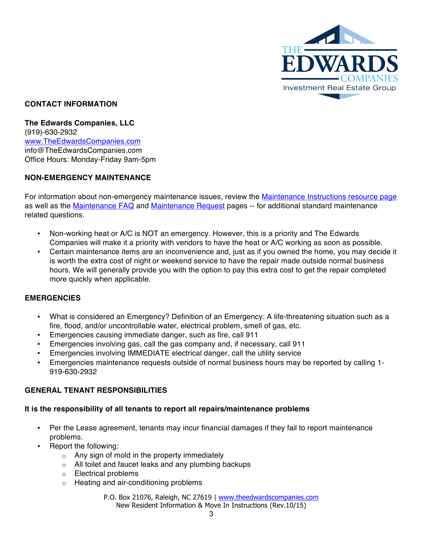

## **CONTACT INFORMATION**

**The Edwards Companies, LLC** (919)-630-2932 www.TheEdwardsCompanies.com info@TheEdwardsCompanies.com Office Hours: Monday-Friday 9am-5pm

## **NON-EMERGENCY MAINTENANCE**

For information about non-emergency maintenance issues, review the Maintenance Instructions resource page as well as the Maintenance FAQ and Maintenance Request pages -- for additional standard maintenance related questions.

- Non-working heat or A/C is NOT an emergency. However, this is a priority and The Edwards Companies will make it a priority with vendors to have the heat or A/C working as soon as possible.
- Certain maintenance items are an inconvenience and, just as if you owned the home, you may decide it is worth the extra cost of night or weekend service to have the repair made outside normal business hours. We will generally provide you with the option to pay this extra cost to get the repair completed more quickly when applicable.

#### **EMERGENCIES**

- What is considered an Emergency? Definition of an Emergency: A life-threatening situation such as a fire, flood, and/or uncontrollable water, electrical problem, smell of gas, etc.
- Emergencies causing immediate danger, such as fire, call 911
- Emergencies involving gas, call the gas company and, if necessary, call 911
- Emergencies involving IMMEDIATE electrical danger, call the utility service
- Emergencies maintenance requests outside of normal business hours may be reported by calling 1- 919-630-2932

## **GENERAL TENANT RESPONSIBILITIES**

#### **It is the responsibility of all tenants to report all repairs/maintenance problems**

- Per the Lease agreement, tenants may incur financial damages if they fail to report maintenance problems.
- Report the following:
	- $\circ$  Any sign of mold in the property immediately
	- o All toilet and faucet leaks and any plumbing backups
	- o Electrical problems
	- o Heating and air-conditioning problems

P.O. Box 21076, Raleigh, NC 27619 | www.theedwardscompanies.com New Resident Information & Move In Instructions (Rev.10/15)